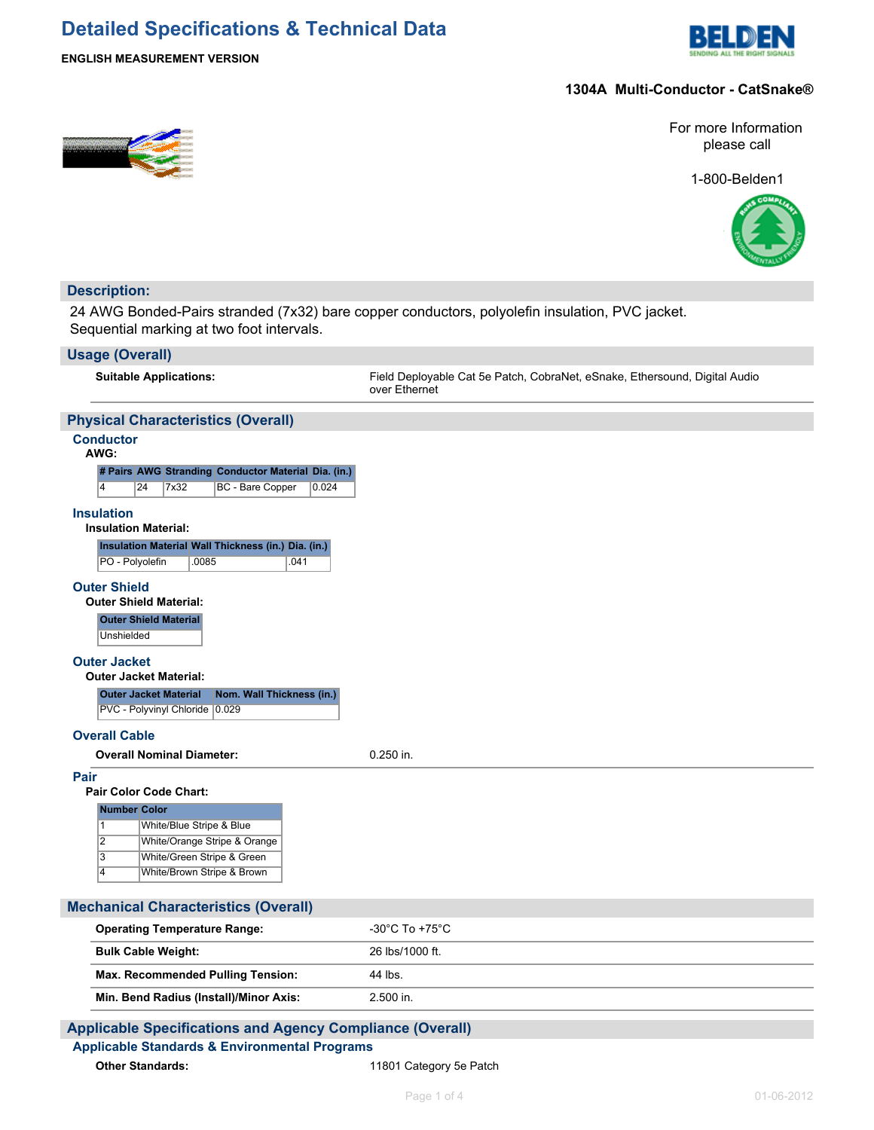## **Detailed Specifications & Technical Data**



#### **ENGLISH MEASUREMENT VERSION**

#### **1304A Multi-Conductor - CatSnake®**



1-800-Belden1



## **Description:**

24 AWG Bonded-Pairs stranded (7x32) bare copper conductors, polyolefin insulation, PVC jacket. Sequential marking at two foot intervals.

#### **Usage (Overall)**

**Suitable Applications:** Field Deployable Cat 5e Patch, CobraNet, eSnake, Ethersound, Digital Audio over Ethernet

## **Physical Characteristics (Overall)**

## **Conductor**

| AWG:                                                                                               |    |      |       |                                                     |      |       |  |
|----------------------------------------------------------------------------------------------------|----|------|-------|-----------------------------------------------------|------|-------|--|
|                                                                                                    |    |      |       | # Pairs AWG Stranding Conductor Material Dia. (in.) |      |       |  |
| 4                                                                                                  | 24 | 7x32 |       | BC - Bare Copper                                    |      | 0.024 |  |
| <b>Insulation</b><br><b>Insulation Material:</b>                                                   |    |      |       |                                                     |      |       |  |
|                                                                                                    |    |      |       | Insulation Material Wall Thickness (in.) Dia. (in.) |      |       |  |
| PO - Polyolefin                                                                                    |    |      | .0085 |                                                     | .041 |       |  |
| <b>Outer Shield Material</b><br>Unshielded<br><b>Outer Jacket</b><br><b>Outer Jacket Material:</b> |    |      |       |                                                     |      |       |  |
| <b>Outer Jacket Material</b>                                                                       |    |      |       | Nom. Wall Thickness (in.)                           |      |       |  |
| <b>PVC - Polyvinyl Chloride</b>                                                                    |    |      |       | 0.029                                               |      |       |  |
| <b>Overall Cable</b>                                                                               |    |      |       |                                                     |      |       |  |
| <b>Overall Nominal Diameter:</b>                                                                   |    |      |       |                                                     |      |       |  |
| <b>Pair</b><br>Pair Color Code Chart:                                                              |    |      |       |                                                     |      |       |  |

| <b>Number Color</b> |                              |  |  |  |  |  |  |
|---------------------|------------------------------|--|--|--|--|--|--|
|                     | White/Blue Stripe & Blue     |  |  |  |  |  |  |
| $\overline{2}$      | White/Orange Stripe & Orange |  |  |  |  |  |  |
| 3                   | White/Green Stripe & Green   |  |  |  |  |  |  |
|                     | White/Brown Stripe & Brown   |  |  |  |  |  |  |

| <b>Mechanical Characteristics (Overall)</b> |                     |  |  |  |  |  |
|---------------------------------------------|---------------------|--|--|--|--|--|
| <b>Operating Temperature Range:</b>         | -30°C To +75°C $\,$ |  |  |  |  |  |
| <b>Bulk Cable Weight:</b>                   | 26 lbs/1000 ft.     |  |  |  |  |  |
| <b>Max. Recommended Pulling Tension:</b>    | 44 lbs.             |  |  |  |  |  |
| Min. Bend Radius (Install)/Minor Axis:      | $2.500$ in.         |  |  |  |  |  |
|                                             |                     |  |  |  |  |  |

## **Applicable Specifications and Agency Compliance (Overall)**

## **Applicable Standards & Environmental Programs**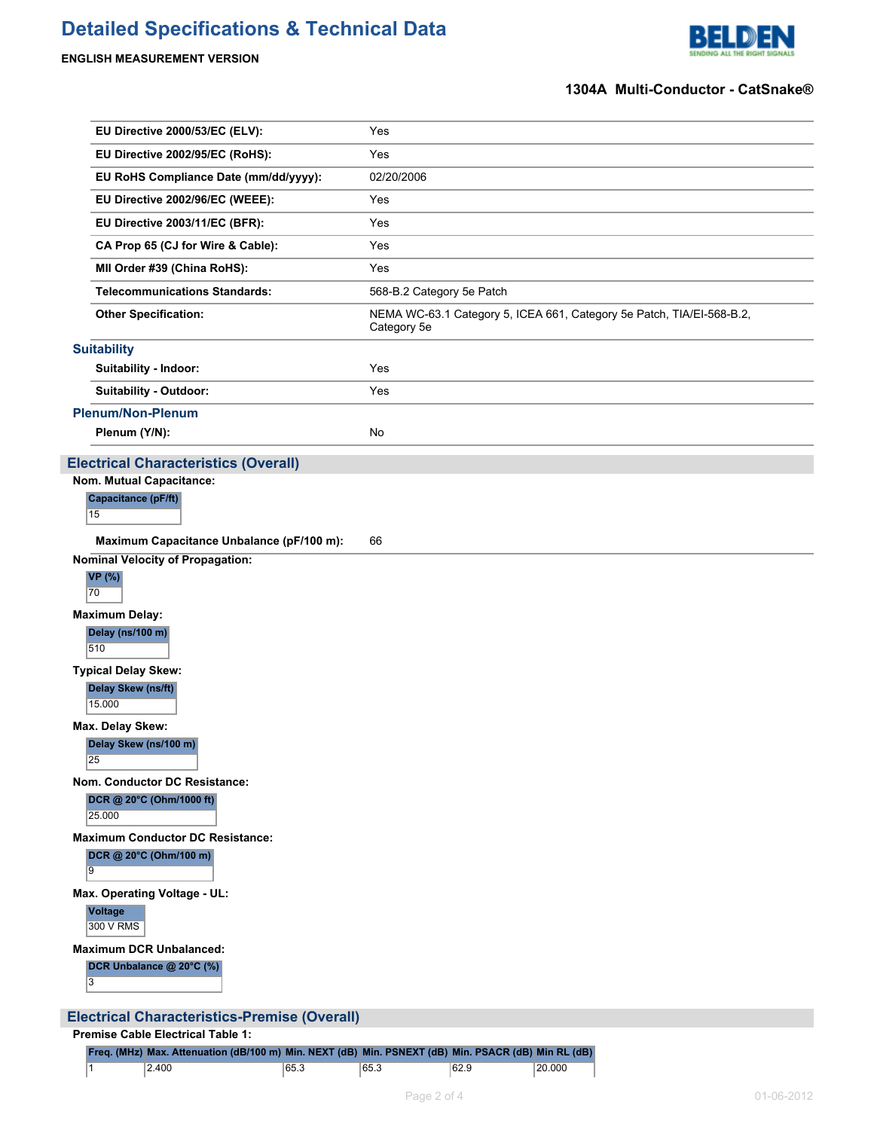# **Detailed Specifications & Technical Data**

## **ENGLISH MEASUREMENT VERSION**



#### **1304A Multi-Conductor - CatSnake®**

| EU Directive 2000/53/EC (ELV):                                                                  | Yes                                                                                  |  |  |  |  |  |
|-------------------------------------------------------------------------------------------------|--------------------------------------------------------------------------------------|--|--|--|--|--|
| EU Directive 2002/95/EC (RoHS):                                                                 | Yes                                                                                  |  |  |  |  |  |
| EU RoHS Compliance Date (mm/dd/yyyy):                                                           | 02/20/2006                                                                           |  |  |  |  |  |
| EU Directive 2002/96/EC (WEEE):                                                                 | Yes                                                                                  |  |  |  |  |  |
| EU Directive 2003/11/EC (BFR):                                                                  | Yes                                                                                  |  |  |  |  |  |
| CA Prop 65 (CJ for Wire & Cable):                                                               | Yes                                                                                  |  |  |  |  |  |
| MII Order #39 (China RoHS):                                                                     | Yes                                                                                  |  |  |  |  |  |
| <b>Telecommunications Standards:</b>                                                            | 568-B.2 Category 5e Patch                                                            |  |  |  |  |  |
| <b>Other Specification:</b>                                                                     | NEMA WC-63.1 Category 5, ICEA 661, Category 5e Patch, TIA/EI-568-B.2,<br>Category 5e |  |  |  |  |  |
| <b>Suitability</b>                                                                              |                                                                                      |  |  |  |  |  |
| Suitability - Indoor:                                                                           | Yes                                                                                  |  |  |  |  |  |
| Suitability - Outdoor:                                                                          | Yes                                                                                  |  |  |  |  |  |
| <b>Plenum/Non-Plenum</b>                                                                        |                                                                                      |  |  |  |  |  |
| Plenum (Y/N):                                                                                   | No                                                                                   |  |  |  |  |  |
| <b>Electrical Characteristics (Overall)</b>                                                     |                                                                                      |  |  |  |  |  |
| Nom. Mutual Capacitance:                                                                        |                                                                                      |  |  |  |  |  |
| Capacitance (pF/ft)<br>15                                                                       |                                                                                      |  |  |  |  |  |
| Maximum Capacitance Unbalance (pF/100 m):                                                       | 66                                                                                   |  |  |  |  |  |
| <b>Nominal Velocity of Propagation:</b><br><b>VP</b> (%)<br>70                                  |                                                                                      |  |  |  |  |  |
| <b>Maximum Delay:</b>                                                                           |                                                                                      |  |  |  |  |  |
| Delay (ns/100 m)<br>510                                                                         |                                                                                      |  |  |  |  |  |
| <b>Typical Delay Skew:</b><br>Delay Skew (ns/ft)<br>15.000                                      |                                                                                      |  |  |  |  |  |
| Max. Delay Skew:<br>Delay Skew (ns/100 m)<br>25                                                 |                                                                                      |  |  |  |  |  |
| Nom. Conductor DC Resistance:<br>DCR @ 20°C (Ohm/1000 ft)<br>25,000                             |                                                                                      |  |  |  |  |  |
| <b>Maximum Conductor DC Resistance:</b><br>DCR @ 20°C (Ohm/100 m)<br>9                          |                                                                                      |  |  |  |  |  |
| Max. Operating Voltage - UL:<br><b>Voltage</b><br>300 V RMS                                     |                                                                                      |  |  |  |  |  |
| <b>Maximum DCR Unbalanced:</b>                                                                  |                                                                                      |  |  |  |  |  |
| DCR Unbalance @ 20°C (%)<br>3                                                                   |                                                                                      |  |  |  |  |  |
|                                                                                                 |                                                                                      |  |  |  |  |  |
| <b>Electrical Characteristics-Premise (Overall)</b><br><b>Premise Cable Electrical Table 1:</b> |                                                                                      |  |  |  |  |  |
|                                                                                                 |                                                                                      |  |  |  |  |  |

|  | Freq. (MHz) Max. Attenuation (dB/100 m) Min. NEXT (dB) Min. PSNEXT (dB) Min. PSACR (dB) Min RL (dB) |      |      |      |        |
|--|-----------------------------------------------------------------------------------------------------|------|------|------|--------|
|  | 2.400                                                                                               | 65.3 | 65.3 | 62.9 | 20.000 |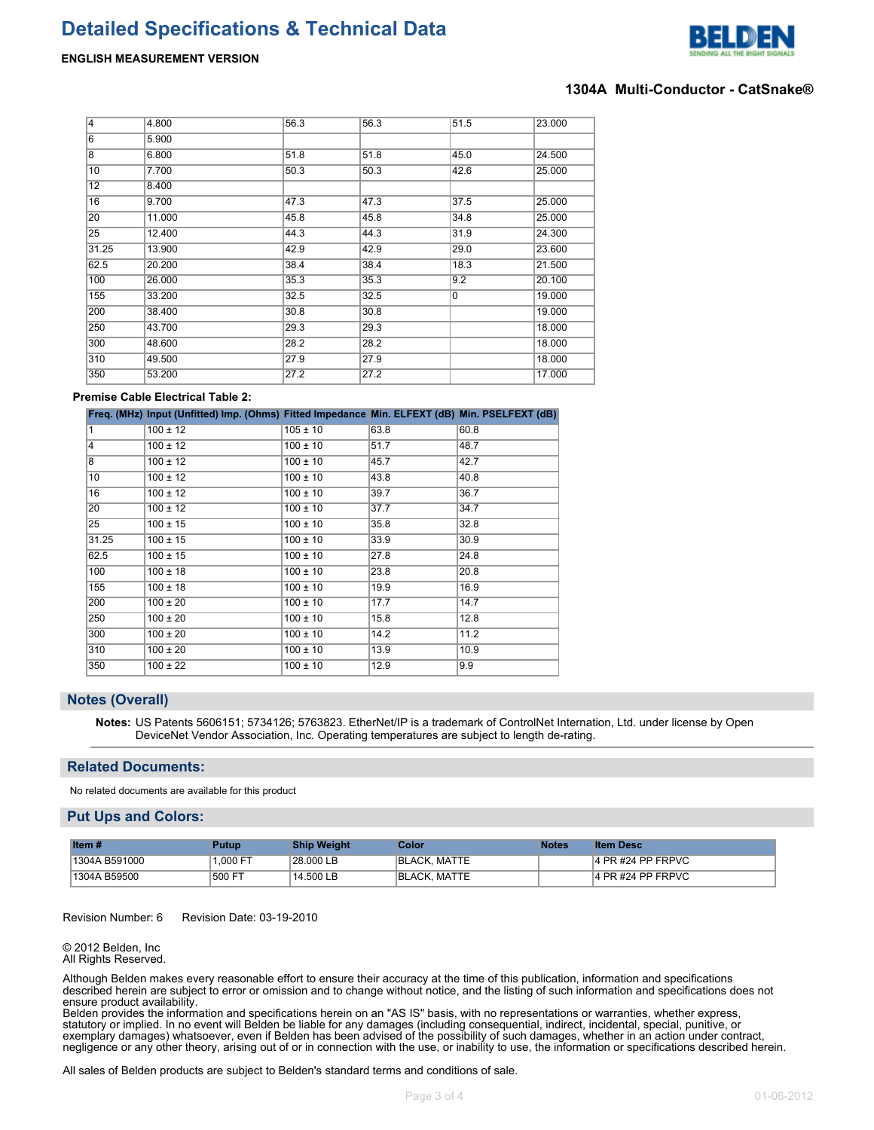



#### **1304A Multi-Conductor - CatSnake®**

| $\overline{4}$ | 4.800  | 56.3 | 56.3 | 51.5 | 23.000 |
|----------------|--------|------|------|------|--------|
| 6              | 5.900  |      |      |      |        |
| 8              | 6.800  | 51.8 | 51.8 | 45.0 | 24.500 |
| 10             | 7.700  | 50.3 | 50.3 | 42.6 | 25.000 |
| 12             | 8.400  |      |      |      |        |
| 16             | 9.700  | 47.3 | 47.3 | 37.5 | 25.000 |
| 20             | 11.000 | 45.8 | 45.8 | 34.8 | 25.000 |
| 25             | 12.400 | 44.3 | 44.3 | 31.9 | 24.300 |
| 31.25          | 13.900 | 42.9 | 42.9 | 29.0 | 23.600 |
| 62.5           | 20.200 | 38.4 | 38.4 | 18.3 | 21.500 |
| 100            | 26.000 | 35.3 | 35.3 | 9.2  | 20.100 |
| 155            | 33.200 | 32.5 | 32.5 | 0    | 19.000 |
| 200            | 38.400 | 30.8 | 30.8 |      | 19.000 |
| 250            | 43.700 | 29.3 | 29.3 |      | 18.000 |
| 300            | 48.600 | 28.2 | 28.2 |      | 18.000 |
| 310            | 49.500 | 27.9 | 27.9 |      | 18.000 |
| 350            | 53.200 | 27.2 | 27.2 |      | 17.000 |

#### **Premise Cable Electrical Table 2:**

|       | Freq. (MHz) Input (Unfitted) Imp. (Ohms) Fitted Impedance Min. ELFEXT (dB) Min. PSELFEXT (dB) |              |      |      |
|-------|-----------------------------------------------------------------------------------------------|--------------|------|------|
| 1     | $100 \pm 12$                                                                                  | $105 \pm 10$ | 63.8 | 60.8 |
| 4     | $100 \pm 12$                                                                                  | $100 \pm 10$ | 51.7 | 48.7 |
| 8     | $100 \pm 12$                                                                                  | $100 \pm 10$ | 45.7 | 42.7 |
| 10    | $100 \pm 12$                                                                                  | $100 \pm 10$ | 43.8 | 40.8 |
| 16    | $100 \pm 12$                                                                                  | $100 \pm 10$ | 39.7 | 36.7 |
| 20    | $100 \pm 12$                                                                                  | $100 \pm 10$ | 37.7 | 34.7 |
| 25    | $100 \pm 15$                                                                                  | $100 \pm 10$ | 35.8 | 32.8 |
| 31.25 | $100 \pm 15$                                                                                  | $100 \pm 10$ | 33.9 | 30.9 |
| 62.5  | $100 \pm 15$                                                                                  | $100 \pm 10$ | 27.8 | 24.8 |
| 100   | $100 \pm 18$                                                                                  | $100 \pm 10$ | 23.8 | 20.8 |
| 155   | $100 \pm 18$                                                                                  | $100 \pm 10$ | 19.9 | 16.9 |
| 200   | $100 \pm 20$                                                                                  | $100 \pm 10$ | 17.7 | 14.7 |
| 250   | $100 \pm 20$                                                                                  | $100 \pm 10$ | 15.8 | 12.8 |
| 300   | $100 \pm 20$                                                                                  | $100 \pm 10$ | 14.2 | 11.2 |
| 310   | $100 \pm 20$                                                                                  | $100 \pm 10$ | 13.9 | 10.9 |
| 350   | $100 \pm 22$                                                                                  | $100 \pm 10$ | 12.9 | 9.9  |

#### **Notes (Overall)**

**Notes:** US Patents 5606151; 5734126; 5763823. EtherNet/IP is a trademark of ControlNet Internation, Ltd. under license by Open DeviceNet Vendor Association, Inc. Operating temperatures are subject to length de-rating.

#### **Related Documents:**

No related documents are available for this product

#### **Put Ups and Colors:**

| Item $#$      | Putup   | <b>Ship Weight</b> | Color               | Notes | <b>Item Desc</b>  |
|---------------|---------|--------------------|---------------------|-------|-------------------|
| 1304A B591000 | 1.000 F | 28.000 LB          | <b>BLACK. MATTE</b> |       | 4 PR #24 PP FRPVC |
| 1304A B59500  | 500 FT  | 14.500 LB          | <b>BLACK, MATTE</b> |       | 4 PR #24 PP FRPVC |

#### Revision Number: 6 Revision Date: 03-19-2010

#### © 2012 Belden, Inc All Rights Reserved.

Although Belden makes every reasonable effort to ensure their accuracy at the time of this publication, information and specifications described herein are subject to error or omission and to change without notice, and the listing of such information and specifications does not ensure product availability.

Belden provides the information and specifications herein on an "AS IS" basis, with no representations or warranties, whether express, statutory or implied. In no event will Belden be liable for any damages (including consequential, indirect, incidental, special, punitive, or exemplary damages) whatsoever, even if Belden has been advised of the possibility of such damages, whether in an action under contract, negligence or any other theory, arising out of or in connection with the use, or inability to use, the information or specifications described herein.

All sales of Belden products are subject to Belden's standard terms and conditions of sale.